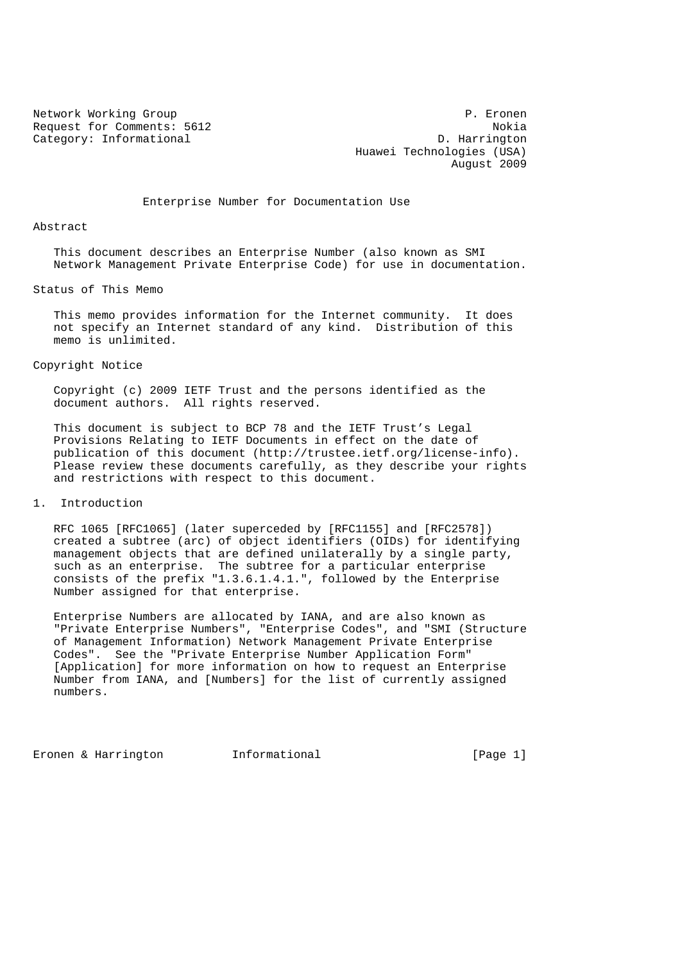Request for Comments: 5612<br>Category: Informational and D. Harrington Category: Informational

Network Working Group **P. Expansion Communist Communist Communist Communist Communist Communist Communist Communist Communist Communist Communist Communist Communist Communist Communist Communist Communist Communist Commun**  Huawei Technologies (USA) August 2009

Enterprise Number for Documentation Use

Abstract

 This document describes an Enterprise Number (also known as SMI Network Management Private Enterprise Code) for use in documentation.

Status of This Memo

 This memo provides information for the Internet community. It does not specify an Internet standard of any kind. Distribution of this memo is unlimited.

## Copyright Notice

 Copyright (c) 2009 IETF Trust and the persons identified as the document authors. All rights reserved.

 This document is subject to BCP 78 and the IETF Trust's Legal Provisions Relating to IETF Documents in effect on the date of publication of this document (http://trustee.ietf.org/license-info). Please review these documents carefully, as they describe your rights and restrictions with respect to this document.

1. Introduction

 RFC 1065 [RFC1065] (later superceded by [RFC1155] and [RFC2578]) created a subtree (arc) of object identifiers (OIDs) for identifying management objects that are defined unilaterally by a single party, such as an enterprise. The subtree for a particular enterprise consists of the prefix "1.3.6.1.4.1.", followed by the Enterprise Number assigned for that enterprise.

 Enterprise Numbers are allocated by IANA, and are also known as "Private Enterprise Numbers", "Enterprise Codes", and "SMI (Structure of Management Information) Network Management Private Enterprise Codes". See the "Private Enterprise Number Application Form" [Application] for more information on how to request an Enterprise Number from IANA, and [Numbers] for the list of currently assigned numbers.

Eronen & Harrington 1nformational [Page 1]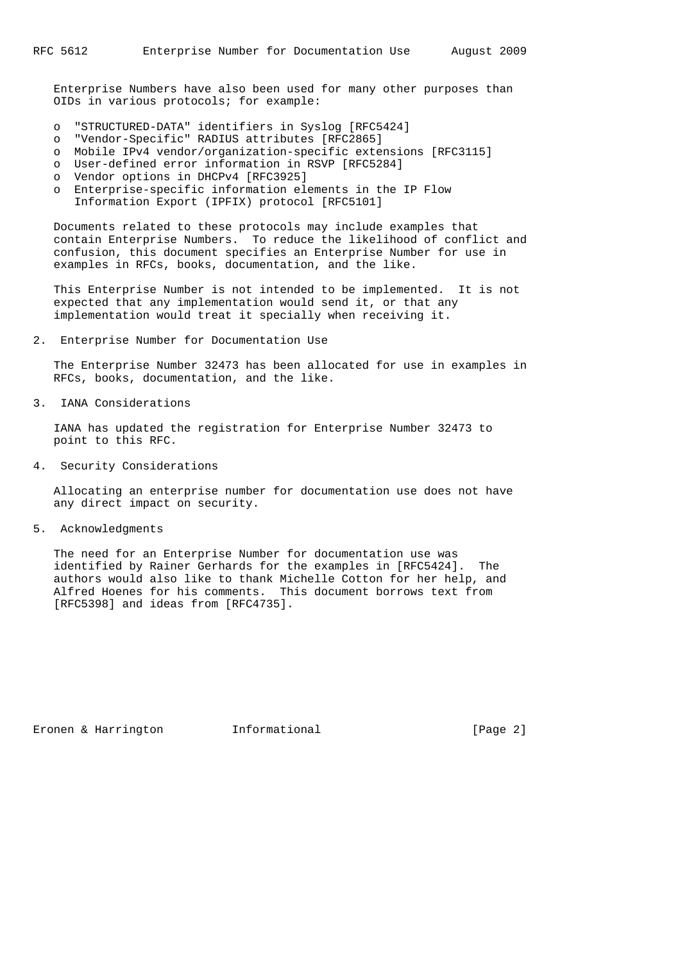Enterprise Numbers have also been used for many other purposes than OIDs in various protocols; for example:

- o "STRUCTURED-DATA" identifiers in Syslog [RFC5424]
- o "Vendor-Specific" RADIUS attributes [RFC2865]
- o Mobile IPv4 vendor/organization-specific extensions [RFC3115]
- o User-defined error information in RSVP [RFC5284]
- o Vendor options in DHCPv4 [RFC3925]
- o Enterprise-specific information elements in the IP Flow Information Export (IPFIX) protocol [RFC5101]

 Documents related to these protocols may include examples that contain Enterprise Numbers. To reduce the likelihood of conflict and confusion, this document specifies an Enterprise Number for use in examples in RFCs, books, documentation, and the like.

 This Enterprise Number is not intended to be implemented. It is not expected that any implementation would send it, or that any implementation would treat it specially when receiving it.

2. Enterprise Number for Documentation Use

 The Enterprise Number 32473 has been allocated for use in examples in RFCs, books, documentation, and the like.

3. IANA Considerations

 IANA has updated the registration for Enterprise Number 32473 to point to this RFC.

4. Security Considerations

 Allocating an enterprise number for documentation use does not have any direct impact on security.

5. Acknowledgments

 The need for an Enterprise Number for documentation use was identified by Rainer Gerhards for the examples in [RFC5424]. The authors would also like to thank Michelle Cotton for her help, and Alfred Hoenes for his comments. This document borrows text from [RFC5398] and ideas from [RFC4735].

Eronen & Harrington Informational (Page 2)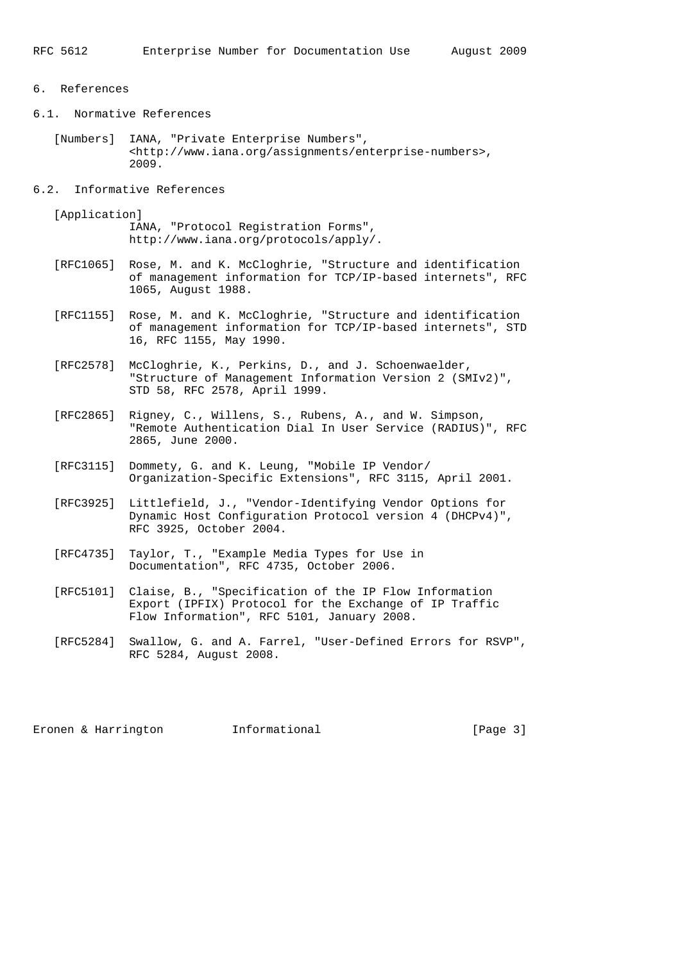## 6. References

- 6.1. Normative References
	- [Numbers] IANA, "Private Enterprise Numbers", <http://www.iana.org/assignments/enterprise-numbers>, 2009.
- 6.2. Informative References

[Application]

 IANA, "Protocol Registration Forms", http://www.iana.org/protocols/apply/.

- [RFC1065] Rose, M. and K. McCloghrie, "Structure and identification of management information for TCP/IP-based internets", RFC 1065, August 1988.
- [RFC1155] Rose, M. and K. McCloghrie, "Structure and identification of management information for TCP/IP-based internets", STD 16, RFC 1155, May 1990.
- [RFC2578] McCloghrie, K., Perkins, D., and J. Schoenwaelder, "Structure of Management Information Version 2 (SMIv2)", STD 58, RFC 2578, April 1999.
- [RFC2865] Rigney, C., Willens, S., Rubens, A., and W. Simpson, "Remote Authentication Dial In User Service (RADIUS)", RFC 2865, June 2000.
- [RFC3115] Dommety, G. and K. Leung, "Mobile IP Vendor/ Organization-Specific Extensions", RFC 3115, April 2001.
- [RFC3925] Littlefield, J., "Vendor-Identifying Vendor Options for Dynamic Host Configuration Protocol version 4 (DHCPv4)", RFC 3925, October 2004.
- [RFC4735] Taylor, T., "Example Media Types for Use in Documentation", RFC 4735, October 2006.
- [RFC5101] Claise, B., "Specification of the IP Flow Information Export (IPFIX) Protocol for the Exchange of IP Traffic Flow Information", RFC 5101, January 2008.
- [RFC5284] Swallow, G. and A. Farrel, "User-Defined Errors for RSVP", RFC 5284, August 2008.

Eronen & Harrington **Informational Informational** [Page 3]